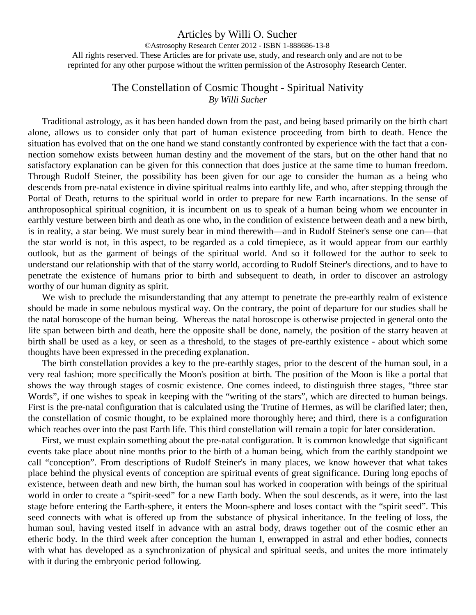## Articles by Willi O. Sucher

©Astrosophy Research Center 2012 - ISBN 1-888686-13-8 All rights reserved. These Articles are for private use, study, and research only and are not to be reprinted for any other purpose without the written permission of the Astrosophy Research Center.

## The Constellation of Cosmic Thought - Spiritual Nativity *By Willi Sucher*

Traditional astrology, as it has been handed down from the past, and being based primarily on the birth chart alone, allows us to consider only that part of human existence proceeding from birth to death. Hence the situation has evolved that on the one hand we stand constantly confronted by experience with the fact that a connection somehow exists between human destiny and the movement of the stars, but on the other hand that no satisfactory explanation can be given for this connection that does justice at the same time to human freedom. Through Rudolf Steiner, the possibility has been given for our age to consider the human as a being who descends from pre-natal existence in divine spiritual realms into earthly life, and who, after stepping through the Portal of Death, returns to the spiritual world in order to prepare for new Earth incarnations. In the sense of anthroposophical spiritual cognition, it is incumbent on us to speak of a human being whom we encounter in earthly vesture between birth and death as one who, in the condition of existence between death and a new birth, is in reality, a star being. We must surely bear in mind therewith—and in Rudolf Steiner's sense one can—that the star world is not, in this aspect, to be regarded as a cold timepiece, as it would appear from our earthly outlook, but as the garment of beings of the spiritual world. And so it followed for the author to seek to understand our relationship with that of the starry world, according to Rudolf Steiner's directions, and to have to penetrate the existence of humans prior to birth and subsequent to death, in order to discover an astrology worthy of our human dignity as spirit.

We wish to preclude the misunderstanding that any attempt to penetrate the pre-earthly realm of existence should be made in some nebulous mystical way. On the contrary, the point of departure for our studies shall be the natal horoscope of the human being. Whereas the natal horoscope is otherwise projected in general onto the life span between birth and death, here the opposite shall be done, namely, the position of the starry heaven at birth shall be used as a key, or seen as a threshold, to the stages of pre-earthly existence - about which some thoughts have been expressed in the preceding explanation.

The birth constellation provides a key to the pre-earthly stages, prior to the descent of the human soul, in a very real fashion; more specifically the Moon's position at birth*.* The position of the Moon is like a portal that shows the way through stages of cosmic existence. One comes indeed, to distinguish three stages, "three star Words", if one wishes to speak in keeping with the "writing of the stars", which are directed to human beings. First is the pre-natal configuration that is calculated using the Trutine of Hermes, as will be clarified later; then, the constellation of cosmic thought, to be explained more thoroughly here; and third, there is a configuration which reaches over into the past Earth life*.* This third constellation will remain a topic for later consideration.

First, we must explain something about the pre-natal configuration*.* It is common knowledge that significant events take place about nine months prior to the birth of a human being, which from the earthly standpoint we call "conception". From descriptions of Rudolf Steiner's in many places, we know however that what takes place behind the physical events of conception are spiritual events of great significance. During long epochs of existence, between death and new birth, the human soul has worked in cooperation with beings of the spiritual world in order to create a "spirit-seed" for a new Earth body. When the soul descends, as it were, into the last stage before entering the Earth-sphere, it enters the Moon-sphere and loses contact with the "spirit seed". This seed connects with what is offered up from the substance of physical inheritance. In the feeling of loss, the human soul, having vested itself in advance with an astral body, draws together out of the cosmic ether an etheric body. In the third week after conception the human I, enwrapped in astral and ether bodies, connects with what has developed as a synchronization of physical and spiritual seeds, and unites the more intimately with it during the embryonic period following.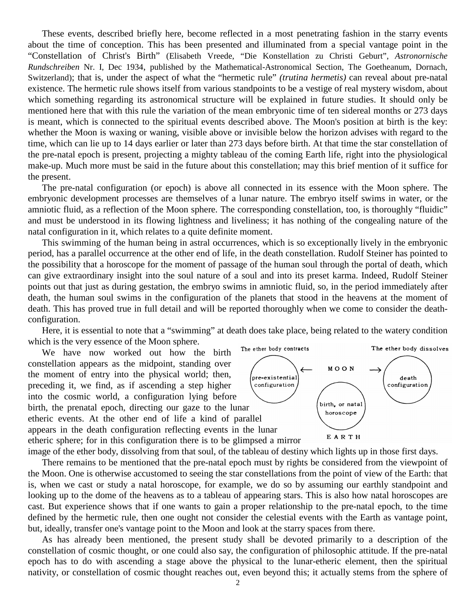These events, described briefly here, become reflected in a most penetrating fashion in the starry events about the time of conception. This has been presented and illuminated from a special vantage point in the "Constellation of Christ's Birth" (Elisabeth Vreede, "Die Konstellation zu Christi Geburt", *Astronornische Rundschreiben* Nr. I, Dec 1934, published by the Mathematical-Astronomical Section, The Goetheanum, Dornach, Switzerland); that is, under the aspect of what the "hermetic rule" *(trutina hermetis)* can reveal about pre-natal existence. The hermetic rule shows itself from various standpoints to be a vestige of real mystery wisdom, about which something regarding its astronomical structure will be explained in future studies. It should only be mentioned here that with this rule the variation of the mean embryonic time of ten sidereal months or 273 days is meant, which is connected to the spiritual events described above. The Moon's position at birth is the key: whether the Moon is waxing or waning, visible above or invisible below the horizon advises with regard to the time, which can lie up to 14 days earlier or later than 273 days before birth. At that time the star constellation of the pre-natal epoch is present, projecting a mighty tableau of the coming Earth life, right into the physiological make-up. Much more must be said in the future about this constellation; may this brief mention of it suffice for the present.

The pre-natal configuration (or epoch) is above all connected in its essence with the Moon sphere. The embryonic development processes are themselves of a lunar nature. The embryo itself swims in water, or the amniotic fluid, as a reflection of the Moon sphere. The corresponding constellation, too, is thoroughly "fluidic" and must be understood in its flowing lightness and liveliness; it has nothing of the congealing nature of the natal configuration in it, which relates to a quite definite moment.

This swimming of the human being in astral occurrences, which is so exceptionally lively in the embryonic period, has a parallel occurrence at the other end of life, in the death constellation. Rudolf Steiner has pointed to the possibility that a horoscope for the moment of passage of the human soul through the portal of death, which can give extraordinary insight into the soul nature of a soul and into its preset karma. Indeed, Rudolf Steiner points out that just as during gestation, the embryo swims in amniotic fluid, so, in the period immediately after death, the human soul swims in the configuration of the planets that stood in the heavens at the moment of death. This has proved true in full detail and will be reported thoroughly when we come to consider the deathconfiguration.

Here, it is essential to note that a "swimming" at death does take place, being related to the watery condition which is the very essence of the Moon sphere.

We have now worked out how the birth constellation appears as the midpoint, standing over the moment of entry into the physical world; then, preceding it, we find, as if ascending a step higher into the cosmic world, a configuration lying before birth, the prenatal epoch, directing our gaze to the lunar etheric events. At the other end of life a kind of parallel appears in the death configuration reflecting events in the lunar etheric sphere; for in this configuration there is to be glimpsed a mirror



image of the ether body, dissolving from that soul, of the tableau of destiny which lights up in those first days.

There remains to be mentioned that the pre-natal epoch must by rights be considered from the viewpoint of the Moon. One is otherwise accustomed to seeing the star constellations from the point of view of the Earth: that is, when we cast or study a natal horoscope, for example, we do so by assuming our earthly standpoint and looking up to the dome of the heavens as to a tableau of appearing stars. This is also how natal horoscopes are cast. But experience shows that if one wants to gain a proper relationship to the pre-natal epoch, to the time defined by the hermetic rule, then one ought not consider the celestial events with the Earth as vantage point, but, ideally, transfer one's vantage point to the Moon and look at the starry spaces from there.

As has already been mentioned, the present study shall be devoted primarily to a description of the constellation of cosmic thought, or one could also say, the configuration of philosophic attitude. If the pre-natal epoch has to do with ascending a stage above the physical to the lunar-etheric element, then the spiritual nativity, or constellation of cosmic thought reaches out, even beyond this; it actually stems from the sphere of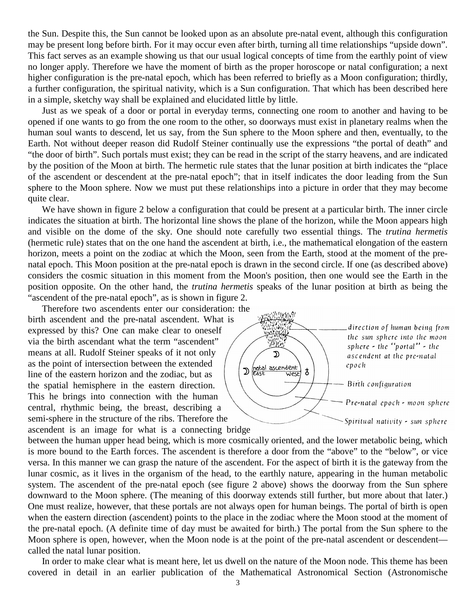the Sun. Despite this, the Sun cannot be looked upon as an absolute pre-natal event, although this configuration may be present long before birth. For it may occur even after birth, turning all time relationships "upside down". This fact serves as an example showing us that our usual logical concepts of time from the earthly point of view no longer apply. Therefore we have the moment of birth as the proper horoscope or natal configuration; a next higher configuration is the pre-natal epoch, which has been referred to briefly as a Moon configuration; thirdly, a further configuration, the spiritual nativity, which is a Sun configuration. That which has been described here in a simple, sketchy way shall be explained and elucidated little by little.

Just as we speak of a door or portal in everyday terms, connecting one room to another and having to be opened if one wants to go from the one room to the other, so doorways must exist in planetary realms when the human soul wants to descend, let us say, from the Sun sphere to the Moon sphere and then, eventually, to the Earth. Not without deeper reason did Rudolf Steiner continually use the expressions "the portal of death" and "the door of birth". Such portals must exist; they can be read in the script of the starry heavens, and are indicated by the position of the Moon at birth. The hermetic rule states that the lunar position at birth indicates the "place of the ascendent or descendent at the pre-natal epoch"; that in itself indicates the door leading from the Sun sphere to the Moon sphere. Now we must put these relationships into a picture in order that they may become quite clear.

We have shown in figure 2 below a configuration that could be present at a particular birth. The inner circle indicates the situation at birth. The horizontal line shows the plane of the horizon, while the Moon appears high and visible on the dome of the sky. One should note carefully two essential things. The *trutina hermetis* (hermetic rule) states that on the one hand the ascendent at birth, i.e., the mathematical elongation of the eastern horizon, meets a point on the zodiac at which the Moon, seen from the Earth, stood at the moment of the prenatal epoch. This Moon position at the pre-natal epoch is drawn in the second circle. If one (as described above) considers the cosmic situation in this moment from the Moon's position, then one would see the Earth in the position opposite. On the other hand, the *trutina hermetis* speaks of the lunar position at birth as being the "ascendent of the pre-natal epoch", as is shown in figure 2.

Therefore two ascendents enter our consideration: the birth ascendent and the pre-natal ascendent. What is expressed by this? One can make clear to oneself via the birth ascendant what the term "ascendent" means at all. Rudolf Steiner speaks of it not only as the point of intersection between the extended line of the eastern horizon and the zodiac, but as the spatial hemisphere in the eastern direction. This he brings into connection with the human central, rhythmic being, the breast, describing a semi-sphere in the structure of the ribs. Therefore the ascendent is an image for what is a connecting bridge



between the human upper head being, which is more cosmically oriented, and the lower metabolic being, which is more bound to the Earth forces. The ascendent is therefore a door from the "above" to the "below", or vice versa. In this manner we can grasp the nature of the ascendent. For the aspect of birth it is the gateway from the lunar cosmic, as it lives in the organism of the head, to the earthly nature, appearing in the human metabolic system. The ascendent of the pre-natal epoch (see figure 2 above) shows the doorway from the Sun sphere downward to the Moon sphere. (The meaning of this doorway extends still further, but more about that later.) One must realize, however, that these portals are not always open for human beings. The portal of birth is open when the eastern direction (ascendent) points to the place in the zodiac where the Moon stood at the moment of the pre-natal epoch. (A definite time of day must be awaited for birth.) The portal from the Sun sphere to the Moon sphere is open, however, when the Moon node is at the point of the pre-natal ascendent or descendent called the natal lunar position.

In order to make clear what is meant here, let us dwell on the nature of the Moon node. This theme has been covered in detail in an earlier publication of the Mathematical Astronomical Section (Astronomische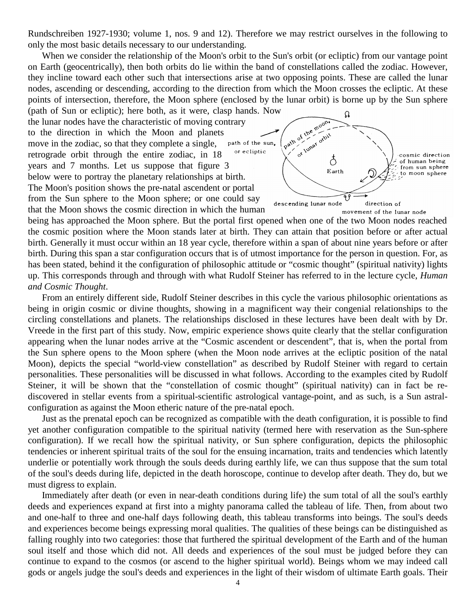Rundschreiben 1927-1930; volume 1, nos. 9 and 12). Therefore we may restrict ourselves in the following to only the most basic details necessary to our understanding.

When we consider the relationship of the Moon's orbit to the Sun's orbit (or ecliptic) from our vantage point on Earth (geocentrically), then both orbits do lie within the band of constellations called the zodiac. However, they incline toward each other such that intersections arise at two opposing points. These are called the lunar nodes, ascending or descending, according to the direction from which the Moon crosses the ecliptic. At these points of intersection, therefore, the Moon sphere (enclosed by the lunar orbit) is borne up by the Sun sphere

(path of Sun or ecliptic); here both, as it were, clasp hands. Now<br>the lunar nodes have the characteristic of moving contrary<br>to the direction in which the Moon and planets<br>move in the zodiac, so that they complete the lunar nodes have the characteristic of moving contrary to the direction in which the Moon and planets move in the zodiac, so that they complete a single, path of the sun, retrograde orbit through the entire zodiac, in 18 or ecliptic years and 7 months. Let us suppose that figure 3 below were to portray the planetary relationships at birth. The Moon's position shows the pre-natal ascendent or portal from the Sun sphere to the Moon sphere; or one could say



being has approached the Moon sphere. But the portal first opened when one of the two Moon nodes reached the cosmic position where the Moon stands later at birth. They can attain that position before or after actual birth. Generally it must occur within an 18 year cycle, therefore within a span of about nine years before or after birth. During this span a star configuration occurs that is of utmost importance for the person in question. For, as has been stated, behind it the configuration of philosophic attitude or "cosmic thought" (spiritual nativity) lights up. This corresponds through and through with what Rudolf Steiner has referred to in the lecture cycle, *Human and Cosmic Thought*.

From an entirely different side, Rudolf Steiner describes in this cycle the various philosophic orientations as being in origin cosmic or divine thoughts, showing in a magnificent way their congenial relationships to the circling constellations and planets. The relationships disclosed in these lectures have been dealt with by Dr. Vreede in the first part of this study. Now, empiric experience shows quite clearly that the stellar configuration appearing when the lunar nodes arrive at the "Cosmic ascendent or descendent", that is, when the portal from the Sun sphere opens to the Moon sphere (when the Moon node arrives at the ecliptic position of the natal Moon), depicts the special "world-view constellation" as described by Rudolf Steiner with regard to certain personalities. These personalities will be discussed in what follows. According to the examples cited by Rudolf Steiner, it will be shown that the "constellation of cosmic thought" (spiritual nativity) can in fact be rediscovered in stellar events from a spiritual-scientific astrological vantage-point, and as such, is a Sun astralconfiguration as against the Moon etheric nature of the pre-natal epoch.

Just as the prenatal epoch can be recognized as compatible with the death configuration, it is possible to find yet another configuration compatible to the spiritual nativity (termed here with reservation as the Sun-sphere configuration). If we recall how the spiritual nativity, or Sun sphere configuration, depicts the philosophic tendencies or inherent spiritual traits of the soul for the ensuing incarnation, traits and tendencies which latently underlie or potentially work through the souls deeds during earthly life, we can thus suppose that the sum total of the soul's deeds during life, depicted in the death horoscope, continue to develop after death. They do, but we must digress to explain.

Immediately after death (or even in near-death conditions during life) the sum total of all the soul's earthly deeds and experiences expand at first into a mighty panorama called the tableau of life*.* Then, from about two and one-half to three and one-half days following death, this tableau transforms into beings. The soul's deeds and experiences become beings expressing moral qualities. The qualities of these beings can be distinguished as falling roughly into two categories: those that furthered the spiritual development of the Earth and of the human soul itself and those which did not. All deeds and experiences of the soul must be judged before they can continue to expand to the cosmos (or ascend to the higher spiritual world). Beings whom we may indeed call gods or angels judge the soul's deeds and experiences in the light of their wisdom of ultimate Earth goals. Their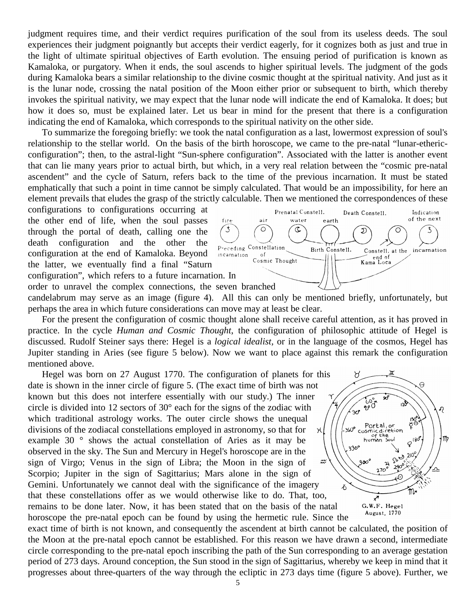judgment requires time, and their verdict requires purification of the soul from its useless deeds. The soul experiences their judgment poignantly but accepts their verdict eagerly, for it cognizes both as just and true in the light of ultimate spiritual objectives of Earth evolution. The ensuing period of purification is known as Kamaloka*,* or purgatory*.* When it ends, the soul ascends to higher spiritual levels. The judgment of the gods during Kamaloka bears a similar relationship to the divine cosmic thought at the spiritual nativity. And just as it is the lunar node, crossing the natal position of the Moon either prior or subsequent to birth, which thereby invokes the spiritual nativity, we may expect that the lunar node will indicate the end of Kamaloka. It does; but how it does so, must be explained later. Let us bear in mind for the present that there is a configuration indicating the end of Kamaloka, which corresponds to the spiritual nativity on the other side.

To summarize the foregoing briefly: we took the natal configuration as a last, lowermost expression of soul's relationship to the stellar world. On the basis of the birth horoscope, we came to the pre-natal "lunar-ethericconfiguration"; then, to the astral-light "Sun-sphere configuration". Associated with the latter is another event that can lie many years prior to actual birth, but which, in a very real relation between the "cosmic pre-natal ascendent" and the cycle of Saturn, refers back to the time of the previous incarnation. It must be stated emphatically that such a point in time cannot be simply calculated. That would be an impossibility, for here an element prevails that eludes the grasp of the strictly calculable. Then we mentioned the correspondences of these

configurations to configurations occurring at the other end of life, when the soul passes through the portal of death, calling one the death configuration and the other the **Preceding Constellation** configuration at the end of Kamaloka. Beyond the latter, we eventually find a final "Saturn configuration", which refers to a future incarnation. In



candelabrum may serve as an image (figure 4). All this can only be mentioned briefly, unfortunately, but perhaps the area in which future considerations can move may at least be clear.

For the present the configuration of cosmic thought alone shall receive careful attention, as it has proved in practice. In the cycle *Human and Cosmic Thought*, the configuration of philosophic attitude of Hegel is discussed. Rudolf Steiner says there: Hegel is a *logical idealist,* or in the language of the cosmos, Hegel has Jupiter standing in Aries (see figure 5 below). Now we want to place against this remark the configuration mentioned above.

Hegel was born on 27 August 1770. The configuration of planets for this date is shown in the inner circle of figure 5. (The exact time of birth was not known but this does not interfere essentially with our study.) The inner circle is divided into 12 sectors of 30° each for the signs of the zodiac with which traditional astrology works. The outer circle shows the unequal divisions of the zodiacal constellations employed in astronomy, so that for example 30 ° shows the actual constellation of Aries as it may be observed in the sky. The Sun and Mercury in Hegel's horoscope are in the sign of Virgo; Venus in the sign of Libra; the Moon in the sign of  $\infty$ Scorpio; Jupiter in the sign of Sagittarius; Mars alone in the sign of Gemini. Unfortunately we cannot deal with the significance of the imagery that these constellations offer as we would otherwise like to do. That, too, remains to be done later. Now, it has been stated that on the basis of the natal horoscope the pre-natal epoch can be found by using the hermetic rule. Since the



exact time of birth is not known, and consequently the ascendent at birth cannot be calculated, the position of the Moon at the pre-natal epoch cannot be established. For this reason we have drawn a second, intermediate circle corresponding to the pre-natal epoch inscribing the path of the Sun corresponding to an average gestation period of 273 days. Around conception, the Sun stood in the sign of Sagittarius, whereby we keep in mind that it progresses about three-quarters of the way through the ecliptic in 273 days time (figure 5 above). Further, we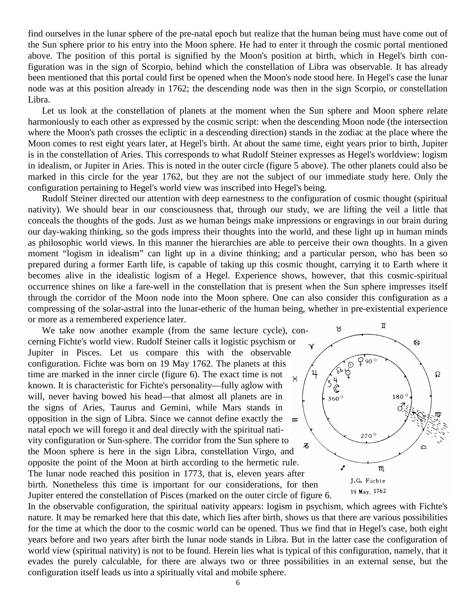find ourselves in the lunar sphere of the pre-natal epoch but realize that the human being must have come out of the Sun sphere prior to his entry into the Moon sphere. He had to enter it through the cosmic portal mentioned above. The position of this portal is signified by the Moon's position at birth, which in Hegel's birth configuration was in the sign of Scorpio, behind which the constellation of Libra was observable. It has already been mentioned that this portal could first be opened when the Moon's node stood here. In Hegel's case the lunar node was at this position already in 1762; the descending node was then in the sign Scorpio, or constellation Libra.

Let us look at the constellation of planets at the moment when the Sun sphere and Moon sphere relate harmoniously to each other as expressed by the cosmic script: when the descending Moon node (the intersection where the Moon's path crosses the ecliptic in a descending direction) stands in the zodiac at the place where the Moon comes to rest eight years later, at Hegel's birth. At about the same time, eight years prior to birth, Jupiter is in the constellation of Aries. This corresponds to what Rudolf Steiner expresses as Hegel's worldview: logism in idealism, or Jupiter in Aries. This is noted in the outer circle (figure 5 above). The other planets could also be marked in this circle for the year 1762, but they are not the subject of our immediate study here. Only the configuration pertaining to Hegel's world view was inscribed into Hegel's being.

Rudolf Steiner directed our attention with deep earnestness to the configuration of cosmic thought (spiritual nativity). We should bear in our consciousness that, through our study, we are lifting the veil a little that conceals the thoughts of the gods. Just as we human beings make impressions or engravings in our brain during our day-waking thinking, so the gods impress their thoughts into the world, and these light up in human minds as philosophic world views. In this manner the hierarchies are able to perceive their own thoughts. In a given moment "logism in idealism" can light up in a divine thinking; and a particular person, who has been so prepared during a former Earth life, is capable of taking up this cosmic thought, carrying it to Earth where it becomes alive in the idealistic logism of a Hegel. Experience shows, however, that this cosmic-spiritual occurrence shines on like a fare-well in the constellation that is present when the Sun sphere impresses itself through the corridor of the Moon node into the Moon sphere. One can also consider this configuration as a compressing of the solar-astral into the lunar-etheric of the human being, whether in pre-existential experience or more as a remembered experience later.

We take now another example (from the same lecture cycle), concerning Fichte's world view. Rudolf Steiner calls it logistic psychism or  $\gamma$ Jupiter in Pisces. Let us compare this with the observable configuration. Fichte was born on 19 May 1762. The planets at this time are marked in the inner circle (figure 6). The exact time is not  $_{\mathcal{H}}$ known. It is characteristic for Fichte's personality—fully aglow with will, never having bowed his head—that almost all planets are in the signs of Aries, Taurus and Gemini, while Mars stands in opposition in the sign of Libra. Since we cannot define exactly the natal epoch we will forego it and deal directly with the spiritual nativity configuration or Sun-sphere. The corridor from the Sun sphere to the Moon sphere is here in the sign Libra, constellation Virgo, and opposite the point of the Moon at birth according to the hermetic rule. The lunar node reached this position in 1773, that is, eleven years after birth. Nonetheless this time is important for our considerations, for then Jupiter entered the constellation of Pisces (marked on the outer circle of figure 6.



In the observable configuration, the spiritual nativity appears: logism in psychism, which agrees with Fichte's nature. It may be remarked here that this date, which lies after birth, shows us that there are various possibilities for the time at which the door to the cosmic world can be opened. Thus we find that in Hegel's case, both eight years before and two years after birth the lunar node stands in Libra. But in the latter case the configuration of world view (spiritual nativity) is not to be found. Herein lies what is typical of this configuration, namely, that it evades the purely calculable, for there are always two or three possibilities in an external sense, but the configuration itself leads us into a spiritually vital and mobile sphere.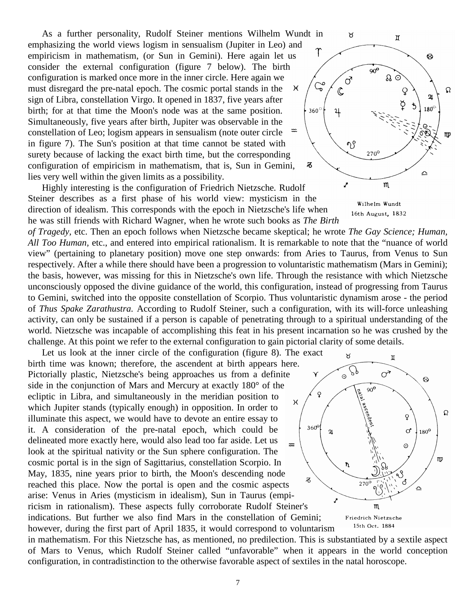As a further personality, Rudolf Steiner mentions Wilhelm Wundt in emphasizing the world views logism in sensualism (Jupiter in Leo) and empiricism in mathematism, (or Sun in Gemini). Here again let us consider the external configuration (figure 7 below). The birth configuration is marked once more in the inner circle. Here again we must disregard the pre-natal epoch. The cosmic portal stands in the  $\chi$ sign of Libra, constellation Virgo. It opened in 1837, five years after birth; for at that time the Moon's node was at the same position. Simultaneously, five years after birth, Jupiter was observable in the constellation of Leo; logism appears in sensualism (note outer circle in figure 7). The Sun's position at that time cannot be stated with surety because of lacking the exact birth time, but the corresponding configuration of empiricism in mathematism, that is, Sun in Gemini, lies very well within the given limits as a possibility.

Highly interesting is the configuration of Friedrich Nietzsche*.* Rudolf Steiner describes as a first phase of his world view: mysticism in the direction of idealism. This corresponds with the epoch in Nietzsche's life when he was still friends with Richard Wagner, when he wrote such books as *The Birth*

*of Tragedy,* etc. Then an epoch follows when Nietzsche became skeptical; he wrote *The Gay Science; Human, All Too Human,* etc., and entered into empirical rationalism. It is remarkable to note that the "nuance of world view" (pertaining to planetary position) move one step onwards: from Aries to Taurus, from Venus to Sun respectively. After a while there should have been a progression to voluntaristic mathematism (Mars in Gemini); the basis, however, was missing for this in Nietzsche's own life. Through the resistance with which Nietzsche unconsciously opposed the divine guidance of the world, this configuration, instead of progressing from Taurus to Gemini, switched into the opposite constellation of Scorpio. Thus voluntaristic dynamism arose - the period of *Thus Spake Zarathustra.* According to Rudolf Steiner, such a configuration, with its will-force unleashing activity, can only be sustained if a person is capable of penetrating through to a spiritual understanding of the world. Nietzsche was incapable of accomplishing this feat in his present incarnation so he was crushed by the challenge. At this point we refer to the external configuration to gain pictorial clarity of some details.

Let us look at the inner circle of the configuration (figure 8). The exact birth time was known; therefore, the ascendent at birth appears here. Pictorially plastic, Nietzsche's being approaches us from a definite side in the conjunction of Mars and Mercury at exactly 180° of the ecliptic in Libra, and simultaneously in the meridian position to  $\chi$ which Jupiter stands (typically enough) in opposition. In order to illuminate this aspect, we would have to devote an entire essay to it. A consideration of the pre-natal epoch, which could be delineated more exactly here, would also lead too far aside. Let us look at the spiritual nativity or the Sun sphere configuration. The cosmic portal is in the sign of Sagittarius, constellation Scorpio. In May, 1835, nine years prior to birth, the Moon's descending node  $\overline{\delta}$ reached this place. Now the portal is open and the cosmic aspects arise: Venus in Aries (mysticism in idealism), Sun in Taurus (empiricism in rationalism). These aspects fully corroborate Rudolf Steiner's indications. But further we also find Mars in the constellation of Gemini; however, during the first part of April 1835, it would correspond to voluntarism



in mathematism. For this Nietzsche has, as mentioned, no predilection. This is substantiated by a sextile aspect of Mars to Venus, which Rudolf Steiner called "unfavorable" when it appears in the world conception configuration, in contradistinction to the otherwise favorable aspect of sextiles in the natal horoscope.

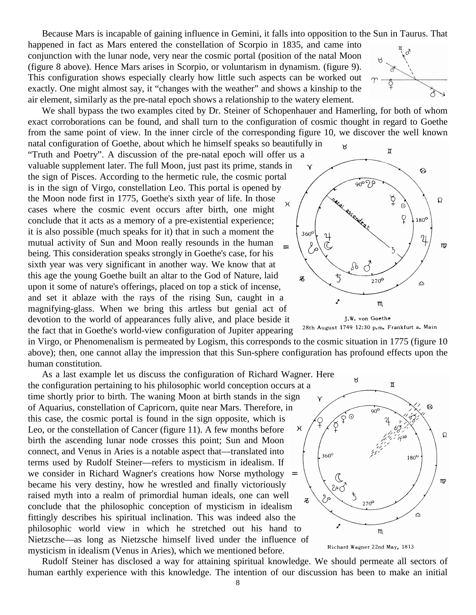Because Mars is incapable of gaining influence in Gemini, it falls into opposition to the Sun in Taurus. That

happened in fact as Mars entered the constellation of Scorpio in 1835, and came into conjunction with the lunar node, very near the cosmic portal (position of the natal Moon (figure 8 above). Hence Mars arises in Scorpio, or voluntarism in dynamism. (figure 9). This configuration shows especially clearly how little such aspects can be worked out exactly. One might almost say, it "changes with the weather" and shows a kinship to the air element, similarly as the pre-natal epoch shows a relationship to the watery element.

We shall bypass the two examples cited by Dr. Steiner of Schopenhauer and Hamerling, for both of whom exact corroborations can be found, and shall turn to the configuration of cosmic thought in regard to Goethe from the same point of view. In the inner circle of the corresponding figure 10, we discover the well known

natal configuration of Goethe, about which he himself speaks so beautifully in "Truth and Poetry". A discussion of the pre-natal epoch will offer us a valuable supplement later. The full Moon, just past its prime, stands in  $\gamma$ the sign of Pisces. According to the hermetic rule, the cosmic portal is in the sign of Virgo, constellation Leo. This portal is opened by the Moon node first in 1775, Goethe's sixth year of life. In those cases where the cosmic event occurs after birth, one might conclude that it acts as a memory of a pre-existential experience; it is also possible (much speaks for it) that in such a moment the mutual activity of Sun and Moon really resounds in the human = being. This consideration speaks strongly in Goethe's case, for his sixth year was very significant in another way. We know that at this age the young Goethe built an altar to the God of Nature, laid upon it some of nature's offerings, placed on top a stick of incense, and set it ablaze with the rays of the rising Sun, caught in a magnifying-glass. When we bring this artless but genial act of devotion to the world of appearances fully alive, and place beside it<br>the feet that in Coethe's world view configuration of Junitar appearing 28th August 1749 12:30 p.m. Frankfurt a. Main the fact that in Goethe's world-view configuration of Jupiter appearing

in Virgo, or Phenomenalism is permeated by Logism, this corresponds to the cosmic situation in 1775 (figure 10 above); then, one cannot allay the impression that this Sun-sphere configuration has profound effects upon the human constitution.

As a last example let us discuss the configuration of Richard Wagner. Here the configuration pertaining to his philosophic world conception occurs at a time shortly prior to birth. The waning Moon at birth stands in the sign of Aquarius, constellation of Capricorn, quite near Mars. Therefore, in this case, the cosmic portal is found in the sign opposite, which is Leo, or the constellation of Cancer (figure 11). A few months before  $\chi$ birth the ascending lunar node crosses this point; Sun and Moon connect, and Venus in Aries is a notable aspect that—translated into terms used by Rudolf Steiner—refers to mysticism in idealism. If we consider in Richard Wagner's creations how Norse mythology became his very destiny, how he wrestled and finally victoriously raised myth into a realm of primordial human ideals, one can well conclude that the philosophic conception of mysticism in idealism fittingly describes his spiritual inclination. This was indeed also the philosophic world view in which he stretched out his hand to Nietzsche—as long as Nietzsche himself lived under the influence of mysticism in idealism (Venus in Aries), which we mentioned before.



Ż



 $m$ 

ĝ



Rudolf Steiner has disclosed a way for attaining spiritual knowledge. We should permeate all sectors of human earthly experience with this knowledge. The intention of our discussion has been to make an initial